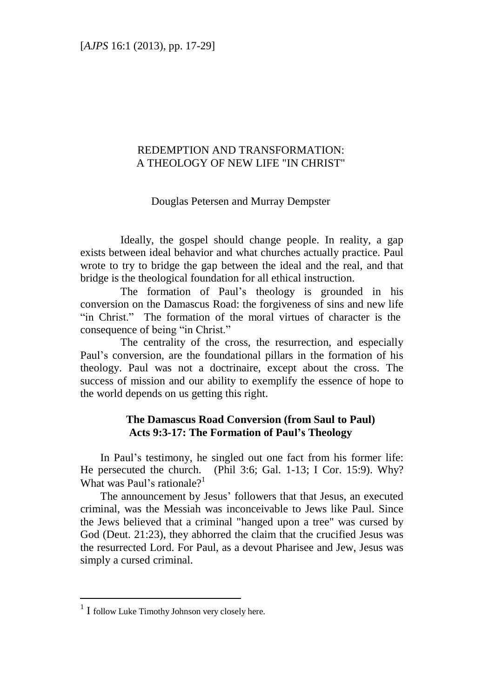### REDEMPTION AND TRANSFORMATION: A THEOLOGY OF NEW LIFE "IN CHRIST"

# Douglas Petersen and Murray Dempster

Ideally, the gospel should change people. In reality, a gap exists between ideal behavior and what churches actually practice. Paul wrote to try to bridge the gap between the ideal and the real, and that bridge is the theological foundation for all ethical instruction.

The formation of Paul's theology is grounded in his conversion on the Damascus Road: the forgiveness of sins and new life "in Christ." The formation of the moral virtues of character is the consequence of being "in Christ."

The centrality of the cross, the resurrection, and especially Paul's conversion, are the foundational pillars in the formation of his theology. Paul was not a doctrinaire, except about the cross. The success of mission and our ability to exemplify the essence of hope to the world depends on us getting this right.

# **The Damascus Road Conversion (from Saul to Paul) Acts 9:3-17: The Formation of Paul's Theology**

In Paul's testimony, he singled out one fact from his former life: He persecuted the church. (Phil 3:6; Gal. 1-13; I Cor. 15:9). Why? What was Paul's rationale?<sup>1</sup>

The announcement by Jesus' followers that that Jesus, an executed criminal, was the Messiah was inconceivable to Jews like Paul. Since the Jews believed that a criminal "hanged upon a tree" was cursed by God (Deut. 21:23), they abhorred the claim that the crucified Jesus was the resurrected Lord. For Paul, as a devout Pharisee and Jew, Jesus was simply a cursed criminal.

<sup>&</sup>lt;sup>1</sup> I follow Luke Timothy Johnson very closely here.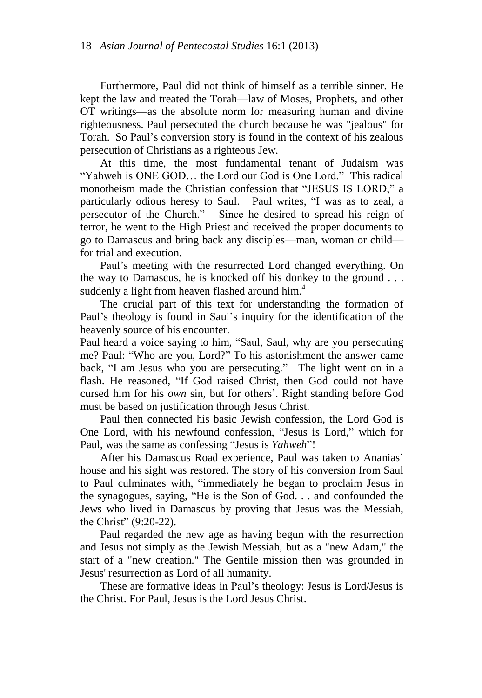Furthermore, Paul did not think of himself as a terrible sinner. He kept the law and treated the Torah—law of Moses, Prophets, and other OT writings—as the absolute norm for measuring human and divine righteousness. Paul persecuted the church because he was "jealous" for Torah. So Paul's conversion story is found in the context of his zealous persecution of Christians as a righteous Jew.

At this time, the most fundamental tenant of Judaism was "Yahweh is ONE GOD... the Lord our God is One Lord." This radical monotheism made the Christian confession that "JESUS IS LORD," a particularly odious heresy to Saul. Paul writes, "I was as to zeal, a persecutor of the Church.‖ Since he desired to spread his reign of terror, he went to the High Priest and received the proper documents to go to Damascus and bring back any disciples—man, woman or child for trial and execution.

Paul's meeting with the resurrected Lord changed everything. On the way to Damascus, he is knocked off his donkey to the ground . . . suddenly a light from heaven flashed around him.<sup>4</sup>

The crucial part of this text for understanding the formation of Paul's theology is found in Saul's inquiry for the identification of the heavenly source of his encounter.

Paul heard a voice saying to him, "Saul, Saul, why are you persecuting me? Paul: "Who are you, Lord?" To his astonishment the answer came back, "I am Jesus who you are persecuting." The light went on in a flash. He reasoned, "If God raised Christ, then God could not have cursed him for his *own* sin, but for others'. Right standing before God must be based on justification through Jesus Christ.

Paul then connected his basic Jewish confession, the Lord God is One Lord, with his newfound confession, "Jesus is Lord," which for Paul, was the same as confessing "Jesus is *Yahweh*"!

After his Damascus Road experience, Paul was taken to Ananias' house and his sight was restored. The story of his conversion from Saul to Paul culminates with, "immediately he began to proclaim Jesus in the synagogues, saying, "He is the Son of God. . . and confounded the Jews who lived in Damascus by proving that Jesus was the Messiah, the Christ"  $(9:20-22)$ .

Paul regarded the new age as having begun with the resurrection and Jesus not simply as the Jewish Messiah, but as a "new Adam," the start of a "new creation." The Gentile mission then was grounded in Jesus' resurrection as Lord of all humanity.

These are formative ideas in Paul's theology: Jesus is Lord/Jesus is the Christ. For Paul, Jesus is the Lord Jesus Christ.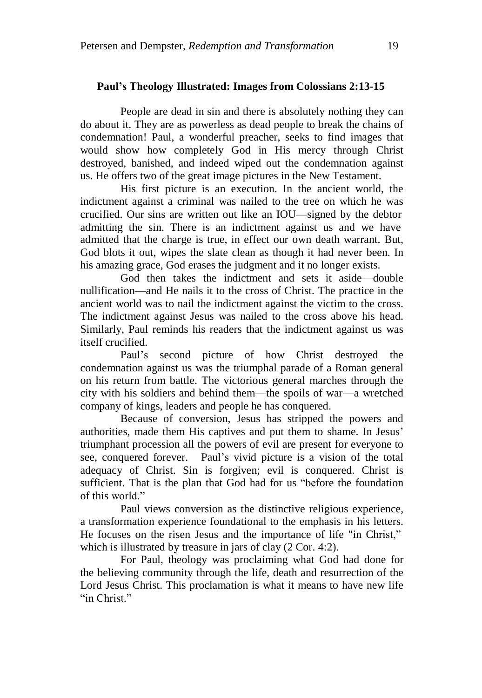#### **Paul's Theology Illustrated: Images from Colossians 2:13-15**

People are dead in sin and there is absolutely nothing they can do about it. They are as powerless as dead people to break the chains of condemnation! Paul, a wonderful preacher, seeks to find images that would show how completely God in His mercy through Christ destroyed, banished, and indeed wiped out the condemnation against us. He offers two of the great image pictures in the New Testament.

His first picture is an execution. In the ancient world, the indictment against a criminal was nailed to the tree on which he was crucified. Our sins are written out like an IOU—signed by the debtor admitting the sin. There is an indictment against us and we have admitted that the charge is true, in effect our own death warrant. But, God blots it out, wipes the slate clean as though it had never been. In his amazing grace, God erases the judgment and it no longer exists.

God then takes the indictment and sets it aside—double nullification—and He nails it to the cross of Christ. The practice in the ancient world was to nail the indictment against the victim to the cross. The indictment against Jesus was nailed to the cross above his head. Similarly, Paul reminds his readers that the indictment against us was itself crucified.

Paul's second picture of how Christ destroyed the condemnation against us was the triumphal parade of a Roman general on his return from battle. The victorious general marches through the city with his soldiers and behind them—the spoils of war—a wretched company of kings, leaders and people he has conquered.

Because of conversion, Jesus has stripped the powers and authorities, made them His captives and put them to shame. In Jesus' triumphant procession all the powers of evil are present for everyone to see, conquered forever. Paul's vivid picture is a vision of the total adequacy of Christ. Sin is forgiven; evil is conquered. Christ is sufficient. That is the plan that God had for us "before the foundation of this world."

Paul views conversion as the distinctive religious experience, a transformation experience foundational to the emphasis in his letters. He focuses on the risen Jesus and the importance of life "in Christ," which is illustrated by treasure in jars of clay (2 Cor. 4:2).

For Paul, theology was proclaiming what God had done for the believing community through the life, death and resurrection of the Lord Jesus Christ. This proclamation is what it means to have new life "in Christ."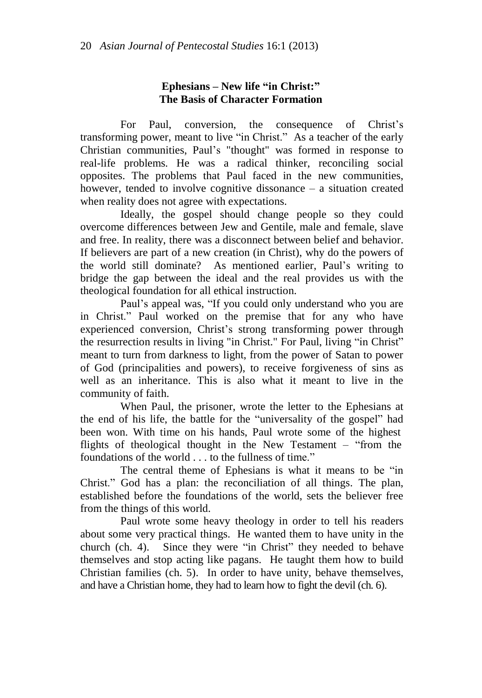# **Ephesians** – **New life** "in Christ:" **The Basis of Character Formation**

For Paul, conversion, the consequence of Christ's transforming power, meant to live "in Christ." As a teacher of the early Christian communities, Paul's "thought" was formed in response to real-life problems. He was a radical thinker, reconciling social opposites. The problems that Paul faced in the new communities, however, tended to involve cognitive dissonance – a situation created when reality does not agree with expectations.

Ideally, the gospel should change people so they could overcome differences between Jew and Gentile, male and female, slave and free. In reality, there was a disconnect between belief and behavior. If believers are part of a new creation (in Christ), why do the powers of the world still dominate? As mentioned earlier, Paul's writing to bridge the gap between the ideal and the real provides us with the theological foundation for all ethical instruction.

Paul's appeal was, "If you could only understand who you are in Christ." Paul worked on the premise that for any who have experienced conversion, Christ's strong transforming power through the resurrection results in living "in Christ." For Paul, living "in Christ" meant to turn from darkness to light, from the power of Satan to power of God (principalities and powers), to receive forgiveness of sins as well as an inheritance. This is also what it meant to live in the community of faith.

When Paul, the prisoner, wrote the letter to the Ephesians at the end of his life, the battle for the "universality of the gospel" had been won. With time on his hands, Paul wrote some of the highest flights of theological thought in the New Testament – "from the foundations of the world . . . to the fullness of time."

The central theme of Ephesians is what it means to be "in Christ.‖ God has a plan: the reconciliation of all things. The plan, established before the foundations of the world, sets the believer free from the things of this world.

Paul wrote some heavy theology in order to tell his readers about some very practical things. He wanted them to have unity in the church (ch. 4). Since they were "in Christ" they needed to behave themselves and stop acting like pagans. He taught them how to build Christian families (ch. 5). In order to have unity, behave themselves, and have a Christian home, they had to learn how to fight the devil (ch. 6).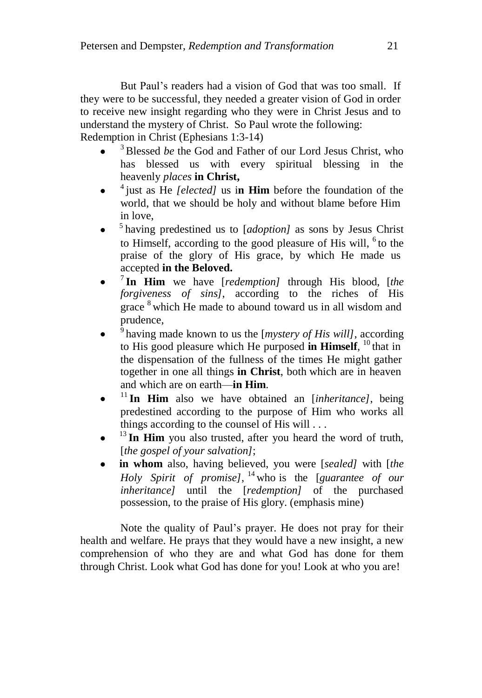But Paul's readers had a vision of God that was too small. If they were to be successful, they needed a greater vision of God in order to receive new insight regarding who they were in Christ Jesus and to understand the mystery of Christ. So Paul wrote the following: Redemption in Christ (Ephesians 1:3-14)

- <sup>3</sup> Blessed *be* the God and Father of our Lord Jesus Christ, who has blessed us with every spiritual blessing in the heavenly *places* **in Christ,**
- 4 just as He *[elected]* us i**n Him** before the foundation of the world, that we should be holy and without blame before Him in love,
- 5 having predestined us to [*adoption]* as sons by Jesus Christ to Himself, according to the good pleasure of His will,  $6$  to the praise of the glory of His grace, by which He made us accepted **in the Beloved.**
- 7 **In Him** we have [*redemption]* through His blood, [*the forgiveness of sins]*, according to the riches of His grace <sup>8</sup> which He made to abound toward us in all wisdom and prudence,
- 9 having made known to us the [*mystery of His will]*, according to His good pleasure which He purposed **in Himself**, <sup>10</sup> that in the dispensation of the fullness of the times He might gather together in one all things **in Christ**, both which are in heaven and which are on earth—**in Him**.
- $11$  In Him also we have obtained an [*inheritance*], being predestined according to the purpose of Him who works all things according to the counsel of His will . . .
- <sup>13</sup> In Him you also trusted, after you heard the word of truth, [*the gospel of your salvation]*;
- **in whom** also, having believed, you were [*sealed]* with [*the Holy Spirit of promise]*, <sup>14</sup> who is the [*guarantee of our inheritance]* until the [*redemption]* of the purchased possession, to the praise of His glory. (emphasis mine)

Note the quality of Paul's prayer. He does not pray for their health and welfare. He prays that they would have a new insight, a new comprehension of who they are and what God has done for them through Christ. Look what God has done for you! Look at who you are!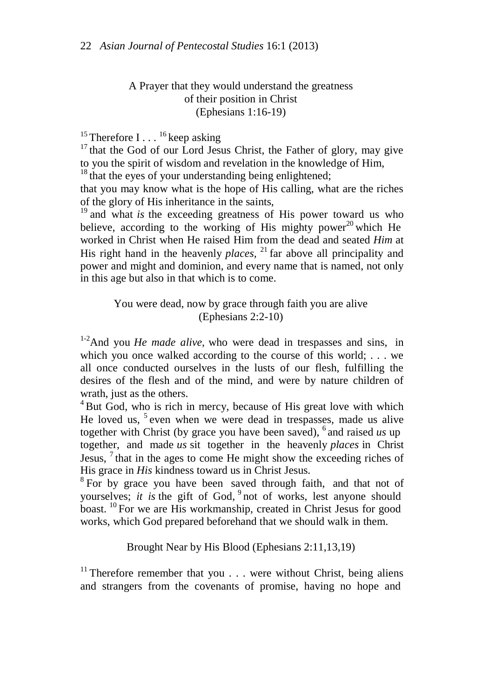# A Prayer that they would understand the greatness of their position in Christ (Ephesians 1:16-19)

# <sup>15</sup> Therefore I...<sup>16</sup> keep asking

 $17$  that the God of our Lord Jesus Christ, the Father of glory, may give to you the spirit of wisdom and revelation in the knowledge of Him,

 $18$  that the eyes of your understanding being enlightened;

that you may know what is the hope of His calling, what are the riches of the glory of His inheritance in the saints,

<sup>19</sup> and what *is* the exceeding greatness of His power toward us who believe, according to the working of His mighty power<sup>20</sup> which He worked in Christ when He raised Him from the dead and seated *Him* at His right hand in the heavenly *places*,  $^{21}$  far above all principality and power and might and dominion, and every name that is named, not only in this age but also in that which is to come.

> You were dead, now by grace through faith you are alive (Ephesians 2:2-10)

1-2And you *He made alive,* who were dead in trespasses and sins, in which you once walked according to the course of this world; ... we all once conducted ourselves in the lusts of our flesh, fulfilling the desires of the flesh and of the mind, and were by nature children of wrath, just as the others.

 $4$  But God, who is rich in mercy, because of His great love with which He loved us, <sup>5</sup> even when we were dead in trespasses, made us alive together with Christ (by grace you have been saved), 6 and raised *us* up together, and made *us* sit together in the heavenly *places* in Christ Jesus,  $\frac{7}{1}$  that in the ages to come He might show the exceeding riches of His grace in *His* kindness toward us in Christ Jesus.

<sup>8</sup> For by grace you have been saved through faith, and that not of yourselves; *it is* the gift of God, <sup>9</sup> not of works, lest anyone should boast. <sup>10</sup> For we are His workmanship, created in Christ Jesus for good works, which God prepared beforehand that we should walk in them.

Brought Near by His Blood (Ephesians 2:11,13,19)

<sup>11</sup> Therefore remember that you  $\dots$  were without Christ, being aliens and strangers from the covenants of promise, having no hope and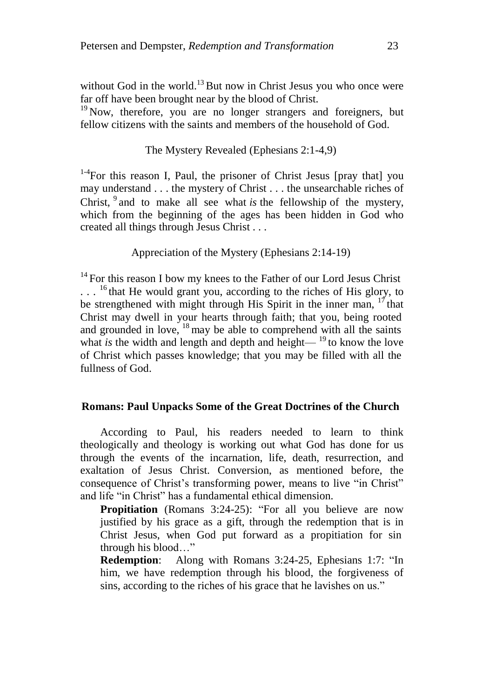without God in the world. $^{13}$  But now in Christ Jesus you who once were far off have been brought near by the blood of Christ.

 $19$  Now, therefore, you are no longer strangers and foreigners, but fellow citizens with the saints and members of the household of God.

# The Mystery Revealed (Ephesians 2:1-4,9)

<sup>1-4</sup> For this reason I, Paul, the prisoner of Christ Jesus [pray that] you may understand . . . the mystery of Christ . . . the unsearchable riches of Christ, <sup>9</sup> and to make all see what *is* the fellowship of the mystery, which from the beginning of the ages has been hidden in God who created all things through Jesus Christ . . .

Appreciation of the Mystery (Ephesians 2:14-19)

 $14$  For this reason I bow my knees to the Father of our Lord Jesus Christ ...<sup>16</sup> that He would grant you, according to the riches of His glory, to be strengthened with might through His Spirit in the inner man,  $17$  that Christ may dwell in your hearts through faith; that you, being rooted and grounded in love,  $18$  may be able to comprehend with all the saints what *is* the width and length and depth and height— $19$  to know the love of Christ which passes knowledge; that you may be filled with all the fullness of God.

#### **Romans: Paul Unpacks Some of the Great Doctrines of the Church**

According to Paul, his readers needed to learn to think theologically and theology is working out what God has done for us through the events of the incarnation, life, death, resurrection, and exaltation of Jesus Christ. Conversion, as mentioned before, the consequence of Christ's transforming power, means to live "in Christ" and life "in Christ" has a fundamental ethical dimension.

**Propitiation** (Romans 3:24-25): "For all you believe are now justified by his grace as a gift, through the redemption that is in Christ Jesus, when God put forward as a propitiation for sin through his blood..."

**Redemption:** Along with Romans 3:24-25, Ephesians 1:7: "In him, we have redemption through his blood, the forgiveness of sins, according to the riches of his grace that he lavishes on us."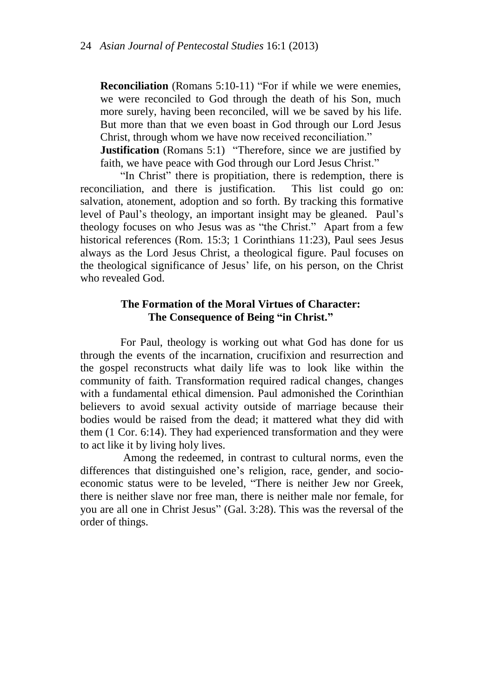**Reconciliation** (Romans 5:10-11) "For if while we were enemies, we were reconciled to God through the death of his Son, much more surely, having been reconciled, will we be saved by his life. But more than that we even boast in God through our Lord Jesus Christ, through whom we have now received reconciliation."

**Justification** (Romans 5:1) "Therefore, since we are justified by faith, we have peace with God through our Lord Jesus Christ."

"In Christ" there is propitiation, there is redemption, there is reconciliation, and there is justification. This list could go on: salvation, atonement, adoption and so forth. By tracking this formative level of Paul's theology, an important insight may be gleaned. Paul's theology focuses on who Jesus was as "the Christ." Apart from a few historical references (Rom. 15:3; 1 Corinthians 11:23), Paul sees Jesus always as the Lord Jesus Christ, a theological figure. Paul focuses on the theological significance of Jesus' life, on his person, on the Christ who revealed God.

### **The Formation of the Moral Virtues of Character:**  The Consequence of Being "in Christ."

For Paul, theology is working out what God has done for us through the events of the incarnation, crucifixion and resurrection and the gospel reconstructs what daily life was to look like within the community of faith. Transformation required radical changes, changes with a fundamental ethical dimension. Paul admonished the Corinthian believers to avoid sexual activity outside of marriage because their bodies would be raised from the dead; it mattered what they did with them (1 Cor. 6:14). They had experienced transformation and they were to act like it by living holy lives.

Among the redeemed, in contrast to cultural norms, even the differences that distinguished one's religion, race, gender, and socioeconomic status were to be leveled, "There is neither Jew nor Greek, there is neither slave nor free man, there is neither male nor female, for you are all one in Christ Jesus" (Gal. 3:28). This was the reversal of the order of things.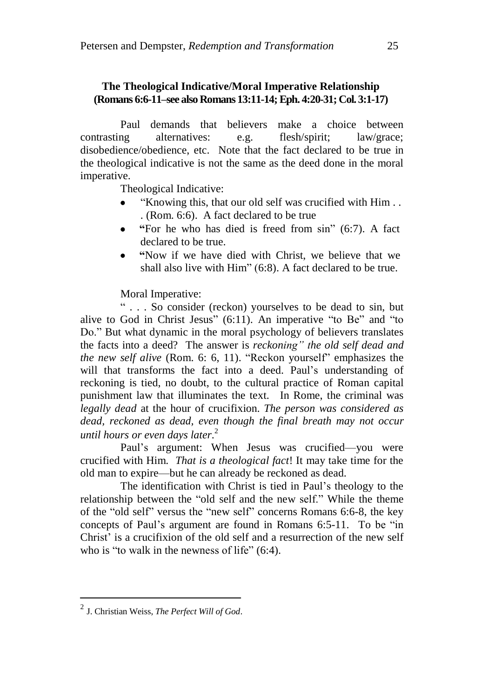# **The Theological Indicative/Moral Imperative Relationship (Romans 6:6-11–see also Romans 13:11-14;Eph. 4:20-31; Col. 3:1-17)**

Paul demands that believers make a choice between contrasting alternatives: e.g. flesh/spirit; law/grace; disobedience/obedience, etc. Note that the fact declared to be true in the theological indicative is not the same as the deed done in the moral imperative.

Theological Indicative:

- ―Knowing this, that our old self was crucified with Him . . . (Rom. 6:6). A fact declared to be true
- $\bullet$ **―**For he who has died is freed from sin‖ (6:7). A fact declared to be true.
- **―**Now if we have died with Christ, we believe that we shall also live with  $\text{Him}$ " (6:8). A fact declared to be true.

Moral Imperative:

― . . . So consider (reckon) yourselves to be dead to sin, but alive to God in Christ Jesus"  $(6:11)$ . An imperative "to Be" and "to Do." But what dynamic in the moral psychology of believers translates the facts into a deed? The answer is *reckoning" the old self dead and the new self alive* (Rom. 6: 6, 11). "Reckon yourself" emphasizes the will that transforms the fact into a deed. Paul's understanding of reckoning is tied, no doubt, to the cultural practice of Roman capital punishment law that illuminates the text. In Rome, the criminal was *legally dead* at the hour of crucifixion. *The person was considered as dead, reckoned as dead, even though the final breath may not occur until hours or even days later*. 2

Paul's argument: When Jesus was crucified—you were crucified with Him. *That is a theological fact*! It may take time for the old man to expire—but he can already be reckoned as dead.

The identification with Christ is tied in Paul's theology to the relationship between the "old self and the new self." While the theme of the "old self" versus the "new self" concerns Romans 6:6-8, the key concepts of Paul's argument are found in Romans 6:5-11. To be "in Christ' is a crucifixion of the old self and a resurrection of the new self who is "to walk in the newness of life"  $(6:4)$ .

<sup>2</sup> J. Christian Weiss, *The Perfect Will of God*.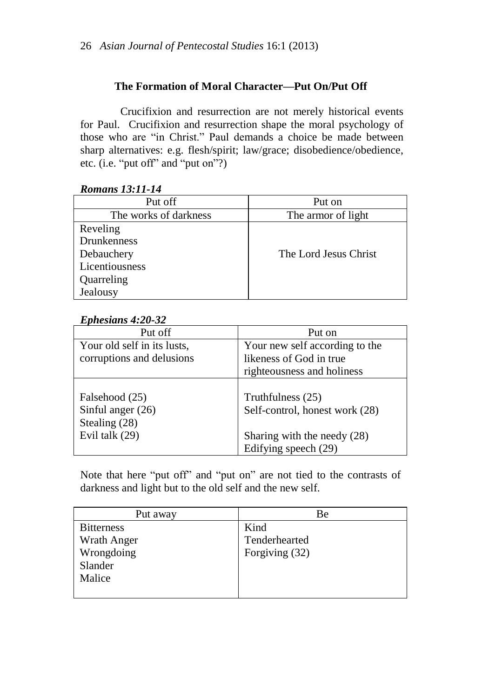# **The Formation of Moral Character—Put On/Put Off**

Crucifixion and resurrection are not merely historical events for Paul. Crucifixion and resurrection shape the moral psychology of those who are "in Christ." Paul demands a choice be made between sharp alternatives: e.g. flesh/spirit; law/grace; disobedience/obedience, etc. (i.e. "put off" and "put on"?)

# *Romans 13:11-14*

| Put off               | Put on                |
|-----------------------|-----------------------|
| The works of darkness | The armor of light    |
| Reveling              |                       |
| <b>Drunkenness</b>    |                       |
| Debauchery            | The Lord Jesus Christ |
| Licentiousness        |                       |
| Quarreling            |                       |
| Jealousy              |                       |

# *Ephesians 4:20-32*

| Put off                                                                  | Put on                                                                                                     |
|--------------------------------------------------------------------------|------------------------------------------------------------------------------------------------------------|
| Your old self in its lusts,                                              | Your new self according to the                                                                             |
| corruptions and delusions                                                | likeness of God in true                                                                                    |
|                                                                          | righteousness and holiness                                                                                 |
| Falsehood (25)<br>Sinful anger $(26)$<br>Stealing (28)<br>Evil talk (29) | Truthfulness (25)<br>Self-control, honest work (28)<br>Sharing with the needy (28)<br>Edifying speech (29) |

Note that here "put off" and "put on" are not tied to the contrasts of darkness and light but to the old self and the new self.

| Put away          | Вe             |
|-------------------|----------------|
| <b>Bitterness</b> | Kind           |
| Wrath Anger       | Tenderhearted  |
| Wrongdoing        | Forgiving (32) |
| Slander           |                |
| Malice            |                |
|                   |                |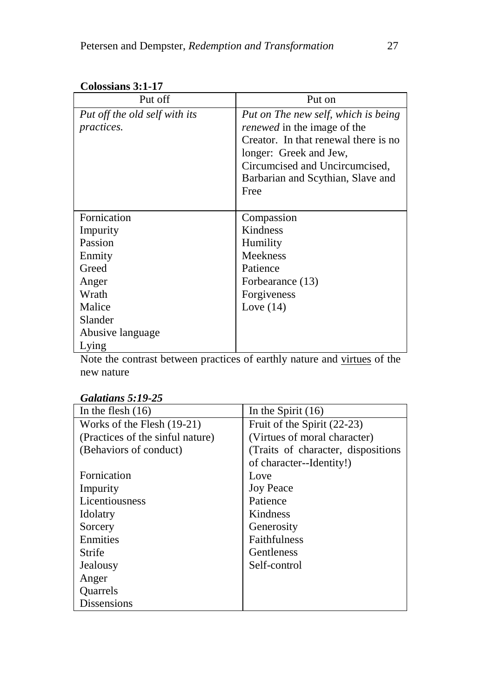| Put off                       | Put on                               |
|-------------------------------|--------------------------------------|
| Put off the old self with its | Put on The new self, which is being  |
| <i>practices.</i>             | <i>renewed</i> in the image of the   |
|                               | Creator. In that renewal there is no |
|                               | longer: Greek and Jew,               |
|                               | Circumcised and Uncircumcised,       |
|                               | Barbarian and Scythian, Slave and    |
|                               | Free                                 |
|                               |                                      |
| Fornication                   | Compassion                           |
| Impurity                      | Kindness                             |
| Passion                       | Humility                             |
| Enmity                        | <b>Meekness</b>                      |
| Greed                         | Patience                             |
| Anger                         | Forbearance (13)                     |
| Wrath                         | Forgiveness                          |
| Malice                        | Love $(14)$                          |
| Slander                       |                                      |
| Abusive language              |                                      |
| Lying                         |                                      |

**Colossians 3:1-17**

Note the contrast between practices of earthly nature and virtues of the new nature

| In the flesh $(16)$              | In the Spirit $(16)$                |
|----------------------------------|-------------------------------------|
| Works of the Flesh (19-21)       | Fruit of the Spirit (22-23)         |
| (Practices of the sinful nature) | (Virtues of moral character)        |
| (Behaviors of conduct)           | (Traits of character, dispositions) |
|                                  | of character--Identity!)            |
| Fornication                      | Love                                |
| Impurity                         | <b>Joy Peace</b>                    |
| Licentiousness                   | Patience                            |
| Idolatry                         | <b>Kindness</b>                     |
| Sorcery                          | Generosity                          |
| Enmities                         | <b>Faithfulness</b>                 |
| Strife                           | <b>Gentleness</b>                   |
| Jealousy                         | Self-control                        |
| Anger                            |                                     |
| <b>Ouarrels</b>                  |                                     |
| <b>Dissensions</b>               |                                     |

# *Galatians 5:19-25*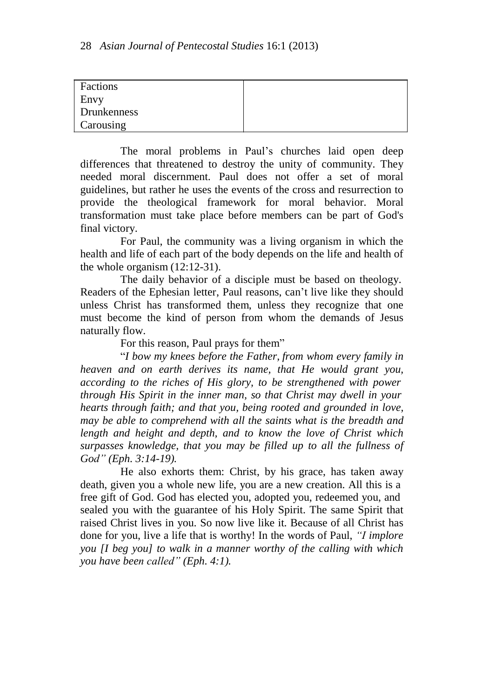| Factions    |  |
|-------------|--|
| Envy        |  |
| Drunkenness |  |
| Carousing   |  |

The moral problems in Paul's churches laid open deep differences that threatened to destroy the unity of community. They needed moral discernment. Paul does not offer a set of moral guidelines, but rather he uses the events of the cross and resurrection to provide the theological framework for moral behavior. Moral transformation must take place before members can be part of God's final victory.

For Paul, the community was a living organism in which the health and life of each part of the body depends on the life and health of the whole organism (12:12-31).

The daily behavior of a disciple must be based on theology. Readers of the Ephesian letter, Paul reasons, can't live like they should unless Christ has transformed them, unless they recognize that one must become the kind of person from whom the demands of Jesus naturally flow.

For this reason, Paul prays for them<sup>"</sup>

―*I bow my knees before the Father, from whom every family in heaven and on earth derives its name, that He would grant you, according to the riches of His glory, to be strengthened with power through His Spirit in the inner man, so that Christ may dwell in your hearts through faith; and that you, being rooted and grounded in love, may be able to comprehend with all the saints what is the breadth and length and height and depth, and to know the love of Christ which surpasses knowledge, that you may be filled up to all the fullness of God" (Eph. 3:14-19).*

He also exhorts them: Christ, by his grace, has taken away death, given you a whole new life, you are a new creation. All this is a free gift of God. God has elected you, adopted you, redeemed you, and sealed you with the guarantee of his Holy Spirit. The same Spirit that raised Christ lives in you. So now live like it. Because of all Christ has done for you, live a life that is worthy! In the words of Paul, *"I implore you [I beg you] to walk in a manner worthy of the calling with which you have been called" (Eph. 4:1).*